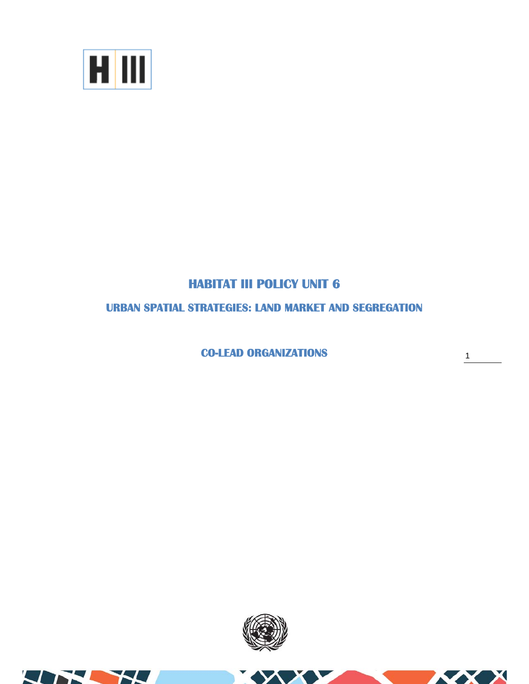

## **HABITAT III POLICY UNIT 6**

## **URBAN SPATIAL STRATEGIES: LAND MARKET AND SEGREGATION**

**CO-LEAD ORGANIZATIONS** 

1